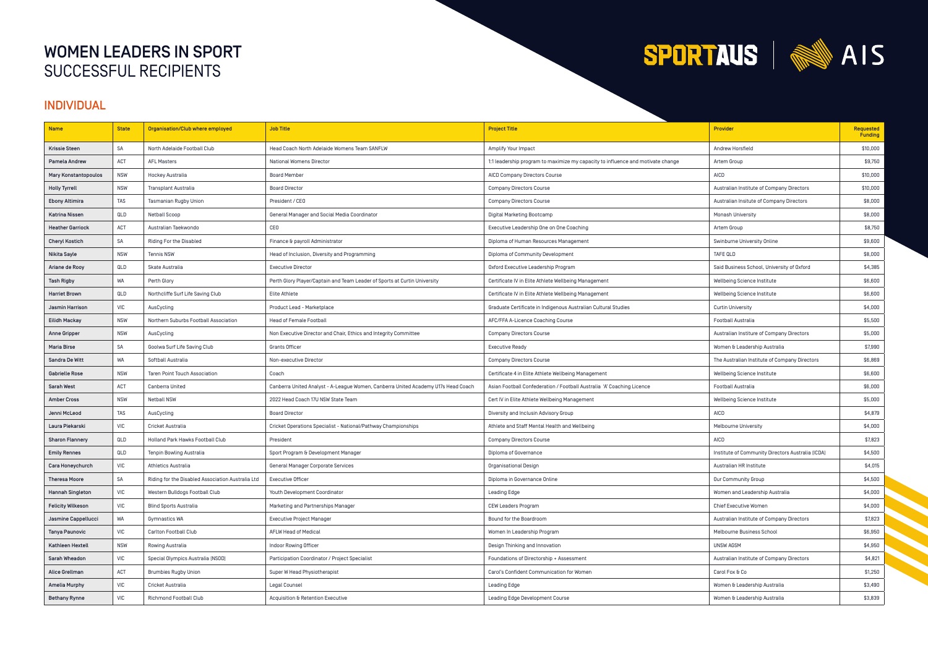# WOMEN LEADERS IN SPORT SUCCESSFUL RECIPIENTS



### INDIVIDUAL

| <b>Name</b>                 | <b>State</b> | Organisation/Club where employed                  | <b>Job Title</b>                                                                  | <b>Project Title</b>                                                            | <b>Provider</b>                                   | <b>Requested</b><br>Funding |
|-----------------------------|--------------|---------------------------------------------------|-----------------------------------------------------------------------------------|---------------------------------------------------------------------------------|---------------------------------------------------|-----------------------------|
| <b>Krissie Steen</b>        | SA           | North Adelaide Football Club                      | Head Coach North Adelaide Womens Team SANFLW                                      | Amplify Your Impact                                                             | Andrew Horsfield                                  | \$10,000                    |
| Pamela Andrew               | <b>ACT</b>   | <b>AFL Masters</b>                                | National Womens Director                                                          | 1:1 leadership program to maximize my capacity to influence and motivate change | Artem Group                                       | \$9,750                     |
| <b>Mary Konstantopoulos</b> | <b>NSW</b>   | Hockey Australia                                  | <b>Board Member</b>                                                               | AICD Company Directors Course                                                   | AICD                                              | \$10,000                    |
| <b>Holly Tyrrell</b>        | <b>NSW</b>   | <b>Transplant Australia</b>                       | <b>Board Director</b>                                                             | <b>Company Directors Course</b>                                                 | Australian Institute of Company Directors         | \$10,000                    |
| <b>Ebony Altimira</b>       | <b>TAS</b>   | Tasmanian Rugby Union                             | President / CEO                                                                   | <b>Company Directors Course</b>                                                 | Australian Insitute of Company Directors          | \$8,000                     |
| Katrina Nissen              | QLD          | <b>Netball Scoop</b>                              | General Manager and Social Media Coordinator                                      | Digital Marketing Bootcamp                                                      | Monash University                                 | \$8,000                     |
| <b>Heather Garriock</b>     | ACT          | Australian Taekwondo                              | CEO                                                                               | Executive Leadership One on One Coaching                                        | Artem Group                                       | \$8,750                     |
| <b>Cheryl Kostich</b>       | <b>SA</b>    | Riding For the Disabled                           | Finance & payroll Administrator                                                   | Diploma of Human Resources Management                                           | Swinburne University Online                       | \$9,600                     |
| Nikita Sayle                | <b>NSW</b>   | <b>Tennis NSW</b>                                 | Head of Inclusion, Diversity and Programming                                      | Diploma of Community Development                                                | <b>TAFE QLD</b>                                   | \$8,000                     |
| Ariane de Rooy              | QLD          | Skate Australia                                   | <b>Executive Director</b>                                                         | Oxford Executive Leadership Program                                             | Said Business School, University of Oxford        | \$4,385                     |
| <b>Tash Rigby</b>           | <b>WA</b>    | Perth Glory                                       | Perth Glory Player/Captain and Team Leader of Sports at Curtin University         | Certificate IV in Elite Athlete Wellbeing Management                            | Wellbeing Science Institute                       | \$6,600                     |
| <b>Harriet Brown</b>        | QLD          | Northcliffe Surf Life Saving Club                 | Elite Athlete                                                                     | Certificate IV in Elite Athlete Wellbeing Management                            | Wellbeing Science Institute                       | \$6,600                     |
| Jasmin Harrison             | <b>VIC</b>   | AusCycling                                        | Product Lead - Marketplace                                                        | Graduate Certificate in Indigenous Australian Cultural Studies                  | <b>Curtin University</b>                          | \$4,000                     |
| <b>Eilidh Mackay</b>        | <b>NSW</b>   | Northern Suburbs Football Association             | <b>Head of Female Football</b>                                                    | AFC/FFA A-Licence Coaching Course                                               | <b>Football Australia</b>                         | \$5,500                     |
| <b>Anne Gripper</b>         | <b>NSW</b>   | AusCycling                                        | Non Executive Director and Chair, Ethics and Integrity Committee                  | <b>Company Directors Course</b>                                                 | Australian Institure of Company Directors         | \$5,000                     |
| Maria Birse                 | <b>SA</b>    | Goolwa Surf Life Saving Club                      | <b>Grants Officer</b>                                                             | <b>Executive Ready</b>                                                          | Women & Leadership Australia                      | \$7,990                     |
| Sandra De Witt              | <b>WA</b>    | Softball Australia                                | Non-executive Director                                                            | <b>Company Directors Course</b>                                                 | The Australian Institute of Company Directors     | \$6,869                     |
| <b>Gabrielle Rose</b>       | <b>NSW</b>   | <b>Taren Point Touch Association</b>              | Coach                                                                             | Certificate 4 in Elite Athlete Wellbeing Management                             | Wellbeing Science Institute                       | \$6,600                     |
| Sarah West                  | ACT          | Canberra United                                   | Canberra United Analyst - A-League Women, Canberra United Academy U17s Head Coach | Asian Football Confederation / Football Australia 'A' Coaching Licence          | <b>Football Australia</b>                         | \$6,000                     |
| <b>Amber Cross</b>          | <b>NSW</b>   | <b>Netball NSW</b>                                | 2022 Head Coach 17U NSW State Team                                                | Cert IV in Elite Athlete Wellbeing Management                                   | Wellbeing Science Institute                       | \$5,000                     |
| Jenni McLeod                | <b>TAS</b>   | AusCycling                                        | <b>Board Director</b>                                                             | Diversity and Inclusin Advisory Group                                           | <b>AICD</b>                                       | \$4,879                     |
| Laura Piekarski             | <b>VIC</b>   | Cricket Australia                                 | Cricket Operations Specialist - National/Pathway Championships                    | Athlete and Staff Mental Health and Wellbeing                                   | Melbourne University                              | \$4,000                     |
| <b>Sharon Flannery</b>      | QLD          | Holland Park Hawks Football Club                  | President                                                                         | <b>Company Directors Course</b>                                                 | AICD                                              | \$7,823                     |
| <b>Emily Rennes</b>         | QLD          | Tenpin Bowling Australia                          | Sport Program & Development Manager                                               | Diploma of Governance                                                           | Institute of Community Directors Australia (ICDA) | \$4,500                     |
| <b>Cara Honeychurch</b>     | <b>VIC</b>   | <b>Athletics Australia</b>                        | <b>General Manager Corporate Services</b>                                         | <b>Organisational Design</b>                                                    | Australian HR Institute                           | \$4,015                     |
| <b>Theresa Moore</b>        | <b>SA</b>    | Riding for the Disabled Association Australia Ltd | <b>Executive Officer</b>                                                          | Diploma in Governance Online                                                    | Our Community Group                               | \$4,500                     |
| Hannah Singleton            | <b>VIC</b>   | Western Bulldogs Football Club                    | Youth Development Coordinator                                                     | Leading Edge                                                                    | Women and Leadership Australia                    | \$4,000                     |
| <b>Felicity Wilkeson</b>    | <b>VIC</b>   | <b>Blind Sports Australia</b>                     | Marketing and Partnerships Manager                                                | <b>CEW Leaders Program</b>                                                      | Chief Executive Women                             | \$4,000                     |
| Jasmine Cappellucci         | <b>WA</b>    | <b>Gymnastics WA</b>                              | <b>Executive Project Manager</b>                                                  | Bound for the Boardroom                                                         | Australian Institute of Company Directors         | \$7,823                     |
| Tanya Paunovic              | <b>VIC</b>   | Carlton Football Club                             | <b>AFLW Head of Medical</b>                                                       | Women In Leadership Program                                                     | Melbourne Business School                         | \$6,950                     |
| Kathleen Hextell            | <b>NSW</b>   | Rowing Australia                                  | Indoor Rowing Officer                                                             | Design Thinking and Innovation                                                  | UNSW AGSM                                         | \$4,950                     |
| Sarah Wheadon               | <b>VIC</b>   | Special Olympics Australia (NSOD)                 | Participation Coordinator / Project Specialist                                    | Foundations of Directorship + Assessment                                        | Australian Institute of Company Directors         | \$4,821                     |
| Alice Grellman              | ACT          | <b>Brumbies Rugby Union</b>                       | Super W Head Physiotherapist                                                      | Carol's Confident Communication for Women                                       | Carol Fox & Co                                    | \$1,250                     |
| <b>Amelia Murphy</b>        | <b>VIC</b>   | Cricket Australia                                 | Legal Counsel                                                                     | Leading Edge                                                                    | Women & Leadership Australia                      | \$3,490                     |
| <b>Bethany Rynne</b>        | VIC          | <b>Richmond Football Club</b>                     | Acquisition & Retention Executive                                                 | Leading Edge Development Course                                                 | Women & Leadership Australia                      | \$3,839                     |



**September**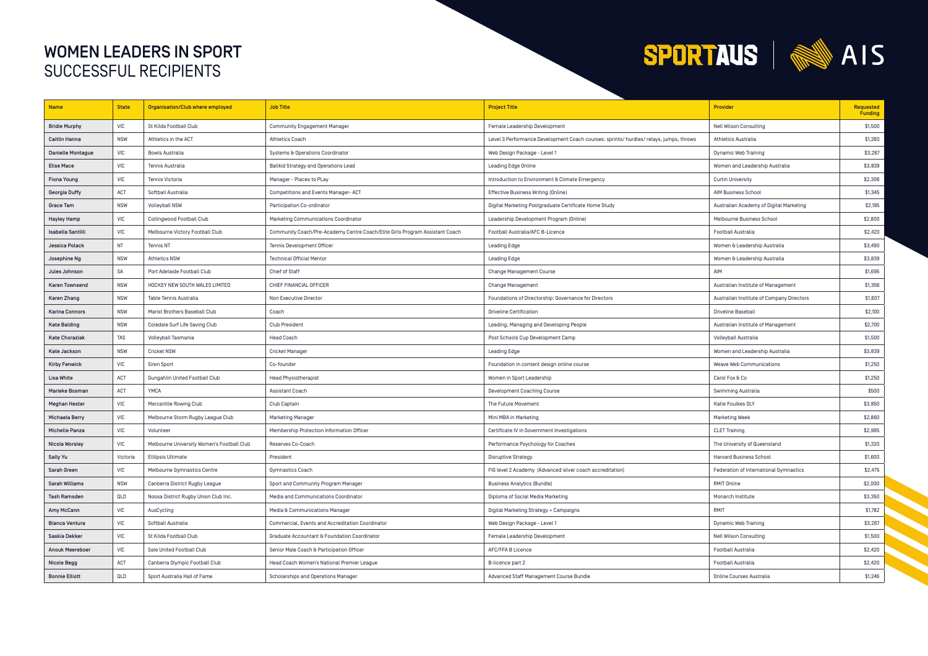# WOMEN LEADERS IN SPORT SUCCESSFUL RECIPIENTS



| <b>Name</b>              | <b>State</b>                                                    | Organisation/Club where employed           | <b>Job Title</b>                                                             | <b>Project Title</b>                                                                   | <b>Provider</b>                           | <b>Requested</b><br>Funding |
|--------------------------|-----------------------------------------------------------------|--------------------------------------------|------------------------------------------------------------------------------|----------------------------------------------------------------------------------------|-------------------------------------------|-----------------------------|
| <b>Bridie Murphy</b>     | <b>VIC</b>                                                      | St Kilda Football Club                     | <b>Community Engagement Manager</b>                                          | Female Leadership Development                                                          | <b>Nell Wilson Consulting</b>             | \$1,500                     |
| Caitlin Hanna            | <b>NSW</b>                                                      | Athletics in the ACT                       | <b>Athletics Coach</b>                                                       | Level 3 Performance Development Coach courses: sprints/ hurdles/ relays, jumps, throws | <b>Athletics Australia</b>                | \$1,260                     |
| <b>Danielle Montague</b> | <b>VIC</b>                                                      | Bowls Australia                            | Systems & Operations Coordinator                                             | Web Design Package - Level 1                                                           | Dynamic Web Training                      | \$3,267                     |
| <b>Elise Mace</b>        | $\ensuremath{\mathsf{V}}\xspace\ensuremath{\mathsf{IC}}\xspace$ | Tennis Australia                           | Ballkid Strategy and Operations Lead                                         | Leading Edge Online                                                                    | Women and Leadership Australia            | \$3,839                     |
| <b>Fiona Young</b>       | <b>VIC</b>                                                      | Tennis Victoria                            | Manager - Places to PLay                                                     | Introduction to Environment & Climate Emergency                                        | <b>Curtin University</b>                  | \$2,306                     |
| Georgia Duffy            | ACT                                                             | Softball Australia                         | Competitions and Events Manager-ACT                                          | Effective Business Writing [Online]                                                    | AIM Business School                       | \$1,345                     |
| Grace Tam                | <b>NSW</b>                                                      | <b>Volleyball NSW</b>                      | Participation Co-ordinator                                                   | Digital Marketing Postgraduate Certificate Home Study                                  | Australian Academy of Digital Marketing   | \$2,195                     |
| Hayley Hamp              | <b>VIC</b>                                                      | Collingwood Football Club                  | Marketing Communications Coordinator                                         | Leadership Development Program [Online]                                                | Melbourne Business School                 | \$2,800                     |
| <b>Isabella Santilli</b> | <b>VIC</b>                                                      | Melbourne Victory Football Club            | Community Coach/Pre-Academy Centre Coach/Elite Girls Program Assistant Coach | Football Australia/AFC B-Licence                                                       | <b>Football Australia</b>                 | \$2,420                     |
| Jessica Polack           | <b>NT</b>                                                       | <b>Tennis NT</b>                           | Tennis Development Officer                                                   | Leading Edge                                                                           | Women & Leadership Australia              | \$3,490                     |
| Josephine Ng             | <b>NSW</b>                                                      | <b>Athletics NSW</b>                       | <b>Technical Official Mentor</b>                                             | Leading Edge                                                                           | Women & Leadership Australia              | \$3,839                     |
| Jules Johnson            | <b>SA</b>                                                       | Port Adelaide Football Club                | Chief of Staff                                                               | <b>Change Management Course</b>                                                        | AIM                                       | \$1,695                     |
| <b>Karen Townsend</b>    | <b>NSW</b>                                                      | HOCKEY NEW SOUTH WALES LIMITED             | CHIEF FINANCIAL OFFICER                                                      | Change Management                                                                      | Australian Institute of Management        | \$1,356                     |
| Karen Zhang              | <b>NSW</b>                                                      | Table Tennis Australia                     | Non Executive Director                                                       | Foundations of Directorship: Governance for Directors                                  | Australian Institute of Company Directors | \$1,607                     |
| <b>Karina Connors</b>    | <b>NSW</b>                                                      | Marist Brothers Baseball Club              | Coach                                                                        | <b>Driveline Certification</b>                                                         | Driveline Baseball                        | \$2,100                     |
| <b>Kate Balding</b>      | <b>NSW</b>                                                      | Coledale Surf Life Saving Club             | <b>Club President</b>                                                        | Leading, Managing and Developing People                                                | Australian Institute of Management        | \$2,700                     |
| <b>Kate Choraziak</b>    | <b>TAS</b>                                                      | Volleyball Tasmania                        | <b>Head Coach</b>                                                            | Post Schools Cup Development Camp                                                      | Volleyball Australia                      | \$1,500                     |
| Kate Jackson             | <b>NSW</b>                                                      | <b>Cricket NSW</b>                         | <b>Cricket Manager</b>                                                       | Leading Edge                                                                           | Women and Leadership Australia            | \$3,839                     |
| <b>Kirby Fenwick</b>     | <b>VIC</b>                                                      | <b>Siren Sport</b>                         | Co-founder                                                                   | Foundation in content design online course                                             | Weave Web Communications                  | \$1,250                     |
| Lisa White               | ACT                                                             | Gungahlin United Football Club             | <b>Head Physiotherapist</b>                                                  | Women in Sport Leadership                                                              | Carol Fox & Co                            | \$1,250                     |
| Marieke Bosman           | <b>ACT</b>                                                      | <b>YMCA</b>                                | Assistant Coach                                                              | Development Coaching Course                                                            | <b>Swimming Australia</b>                 | \$500                       |
| <b>Meghan Hester</b>     | <b>VIC</b>                                                      | <b>Mercantile Rowing Club</b>              | Club Captain                                                                 | The Future Movement                                                                    | Katie Foulkes OLY                         | \$3,850                     |
| Michaela Berry           | <b>VIC</b>                                                      | Melbourne Storm Rugby League Club          | <b>Marketing Manager</b>                                                     | Mini MBA in Marketing                                                                  | <b>Marketing Week</b>                     | \$2,860                     |
| <b>Michelle Panza</b>    | <b>VIC</b>                                                      | Volunteer                                  | Membership Protection Information Officer                                    | Certificate IV in Government Investigations                                            | <b>CLET Training</b>                      | \$2,995                     |
| Nicola Worsley           | <b>VIC</b>                                                      | Melbourne University Women's Football Club | Reserves Co-Coach                                                            | Performance Psychology for Coaches                                                     | The University of Queensland              | \$1,320                     |
| <b>Sally Yu</b>          | Victoria                                                        | <b>Ellilpsis Ultimate</b>                  | President                                                                    | <b>Disruptive Strategy</b>                                                             | Harvard Business School                   | \$1,600                     |
| Sarah Green              | <b>VIC</b>                                                      | Melbourne Gymnastics Centre                | Gymnastics Coach                                                             | FIG level 2 Academy [Advanced silver coach accreditation]                              | Federation of International Gymnastics    | \$2,475                     |
| Sarah Williams           | <b>NSW</b>                                                      | Canberra District Rugby League             | Sport and Community Program Manager                                          | <b>Business Analytics (Bundle)</b>                                                     | RMIT Online                               | \$2,000                     |
| Tash Ramsden             | QLD                                                             | Noosa District Rugby Union Club Inc.       | Media and Communications Coordinator                                         | Diploma of Social Media Marketing                                                      | Monarch Institute                         | \$3,350                     |
| Amy McCann               | <b>VIC</b>                                                      | AusCycling                                 | Media & Communications Manager                                               | Digital Marketing Strategy + Campaigns                                                 | RMIT                                      | \$1,782                     |
| Bianca Ventura           | <b>VIC</b>                                                      | Softball Australia                         | Commercial, Events and Accreditation Coordinator                             | Web Design Package - Level 1                                                           | Dynamic Web Training                      | \$3,267                     |
| Saskia Dekker            | <b>VIC</b>                                                      | St Kilda Football Club                     | Graduate Accountant & Foundation Coordinator                                 | Female Leadership Development                                                          | <b>Nell Wilson Consulting</b>             | \$1,500                     |
| <b>Anouk Meereboer</b>   | <b>VIC</b>                                                      | Sale United Football Club                  | Senior Male Coach & Participation Officer                                    | AFC/FFA B Licence                                                                      | <b>Football Australia</b>                 | \$2,420                     |
| Nicole Begg              | ACT                                                             | Canberra Olympic Football Club             | Head Coach Women's National Premier League                                   | B-licence part 2                                                                       | <b>Football Australia</b>                 | \$2,420                     |
| <b>Bonnie Elliott</b>    | QLD                                                             | Sport Australia Hall of Fame               | Scholarships and Operations Manager                                          | Advanced Staff Management Course Bundle                                                | <b>Online Courses Australia</b>           | \$1,246                     |